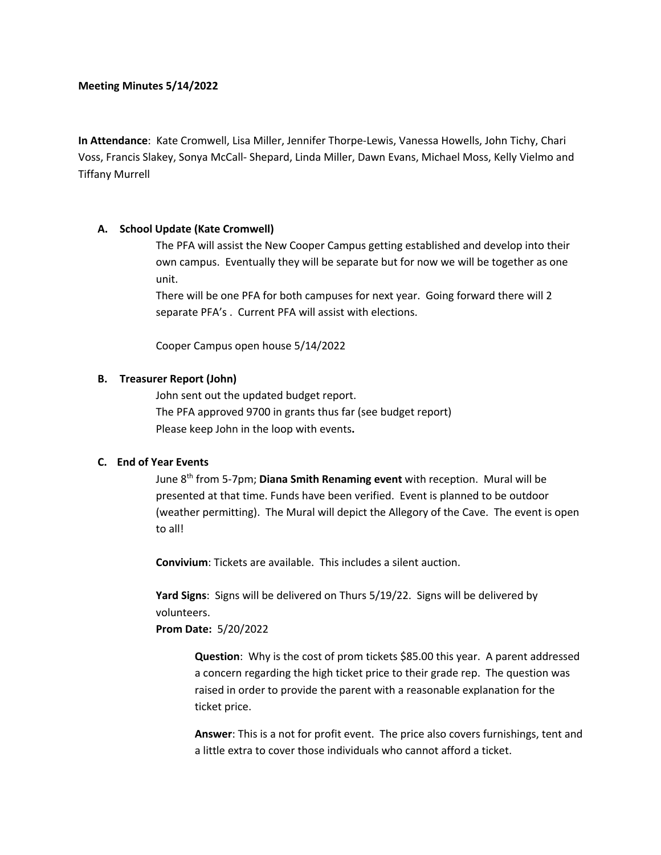## **Meeting Minutes 5/14/2022**

**In Attendance**: Kate Cromwell, Lisa Miller, Jennifer Thorpe-Lewis, Vanessa Howells, John Tichy, Chari Voss, Francis Slakey, Sonya McCall- Shepard, Linda Miller, Dawn Evans, Michael Moss, Kelly Vielmo and Tiffany Murrell

## **A. School Update (Kate Cromwell)**

The PFA will assist the New Cooper Campus getting established and develop into their own campus. Eventually they will be separate but for now we will be together as one unit.

There will be one PFA for both campuses for next year. Going forward there will 2 separate PFA's . Current PFA will assist with elections.

Cooper Campus open house 5/14/2022

### **B. Treasurer Report (John)**

John sent out the updated budget report. The PFA approved 9700 in grants thus far (see budget report) Please keep John in the loop with events**.** 

# **C. End of Year Events**

June 8th from 5-7pm; **Diana Smith Renaming event** with reception. Mural will be presented at that time. Funds have been verified. Event is planned to be outdoor (weather permitting). The Mural will depict the Allegory of the Cave. The event is open to all!

**Convivium**: Tickets are available. This includes a silent auction.

**Yard Signs**: Signs will be delivered on Thurs 5/19/22. Signs will be delivered by volunteers.

**Prom Date:** 5/20/2022

**Question**: Why is the cost of prom tickets \$85.00 this year. A parent addressed a concern regarding the high ticket price to their grade rep. The question was raised in order to provide the parent with a reasonable explanation for the ticket price.

**Answer**: This is a not for profit event. The price also covers furnishings, tent and a little extra to cover those individuals who cannot afford a ticket.